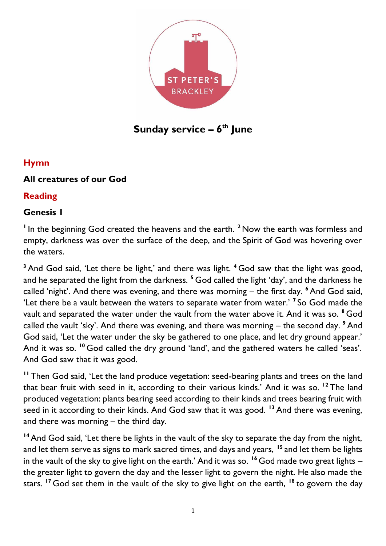

# **Sunday service – 6 th June**

# **Hymn**

# **All creatures of our God**

### **Reading**

### **Genesis 1**

<sup>1</sup> In the beginning God created the heavens and the earth.<sup>2</sup> Now the earth was formless and empty, darkness was over the surface of the deep, and the Spirit of God was hovering over the waters.

**<sup>3</sup>** And God said, 'Let there be light,' and there was light. **<sup>4</sup>** God saw that the light was good, and he separated the light from the darkness. **<sup>5</sup>** God called the light 'day', and the darkness he called 'night'. And there was evening, and there was morning – the first day. **<sup>6</sup>** And God said, 'Let there be a vault between the waters to separate water from water.' **<sup>7</sup>** So God made the vault and separated the water under the vault from the water above it. And it was so. **<sup>8</sup>** God called the vault 'sky'. And there was evening, and there was morning – the second day. **<sup>9</sup>** And God said, 'Let the water under the sky be gathered to one place, and let dry ground appear.' And it was so. **<sup>10</sup>** God called the dry ground 'land', and the gathered waters he called 'seas'. And God saw that it was good.

**<sup>11</sup>** Then God said, 'Let the land produce vegetation: seed-bearing plants and trees on the land that bear fruit with seed in it, according to their various kinds.' And it was so. **<sup>12</sup>** The land produced vegetation: plants bearing seed according to their kinds and trees bearing fruit with seed in it according to their kinds. And God saw that it was good. **<sup>13</sup>** And there was evening, and there was morning – the third day.

**<sup>14</sup>** And God said, 'Let there be lights in the vault of the sky to separate the day from the night, and let them serve as signs to mark sacred times, and days and years, **<sup>15</sup>** and let them be lights in the vault of the sky to give light on the earth.' And it was so. **<sup>16</sup>** God made two great lights – the greater light to govern the day and the lesser light to govern the night. He also made the stars. **<sup>17</sup>** God set them in the vault of the sky to give light on the earth, **<sup>18</sup>** to govern the day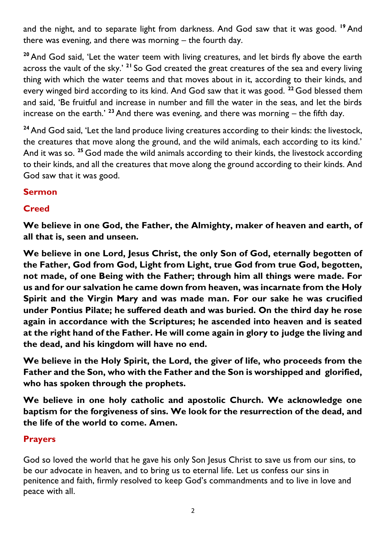and the night, and to separate light from darkness. And God saw that it was good. **<sup>19</sup>** And there was evening, and there was morning – the fourth day.

**<sup>20</sup>** And God said, 'Let the water teem with living creatures, and let birds fly above the earth across the vault of the sky.' **<sup>21</sup>** So God created the great creatures of the sea and every living thing with which the water teems and that moves about in it, according to their kinds, and every winged bird according to its kind. And God saw that it was good. **<sup>22</sup>** God blessed them and said, 'Be fruitful and increase in number and fill the water in the seas, and let the birds increase on the earth.' **<sup>23</sup>** And there was evening, and there was morning – the fifth day.

**<sup>24</sup>** And God said, 'Let the land produce living creatures according to their kinds: the livestock, the creatures that move along the ground, and the wild animals, each according to its kind.' And it was so. **<sup>25</sup>** God made the wild animals according to their kinds, the livestock according to their kinds, and all the creatures that move along the ground according to their kinds. And God saw that it was good.

# **Sermon**

# **Creed**

**We believe in one God, the Father, the Almighty, maker of heaven and earth, of all that is, seen and unseen.** 

**We believe in one Lord, Jesus Christ, the only Son of God, eternally begotten of the Father, God from God, Light from Light, true God from true God, begotten, not made, of one Being with the Father; through him all things were made. For us and for our salvation he came down from heaven, was incarnate from the Holy Spirit and the Virgin Mary and was made man. For our sake he was crucified under Pontius Pilate; he suffered death and was buried. On the third day he rose again in accordance with the Scriptures; he ascended into heaven and is seated at the right hand of the Father. He will come again in glory to judge the living and the dead, and his kingdom will have no end.**

**We believe in the Holy Spirit, the Lord, the giver of life, who proceeds from the Father and the Son, who with the Father and the Son is worshipped and glorified, who has spoken through the prophets.** 

**We believe in one holy catholic and apostolic Church. We acknowledge one baptism for the forgiveness of sins. We look for the resurrection of the dead, and the life of the world to come. Amen.**

### **Prayers**

God so loved the world that he gave his only Son Jesus Christ to save us from our sins, to be our advocate in heaven, and to bring us to eternal life. Let us confess our sins in penitence and faith, firmly resolved to keep God's commandments and to live in love and peace with all.